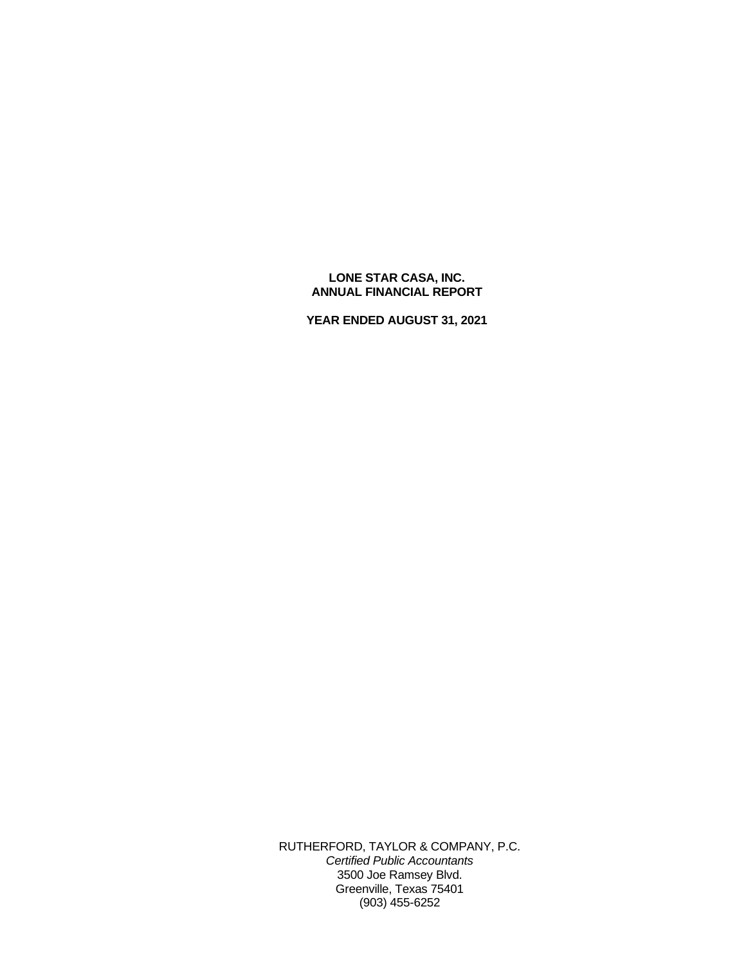## **LONE STAR CASA, INC. ANNUAL FINANCIAL REPORT**

**YEAR ENDED AUGUST 31, 2021**

RUTHERFORD, TAYLOR & COMPANY, P.C. *Certified Public Accountants* 3500 Joe Ramsey Blvd. Greenville, Texas 75401 (903) 455-6252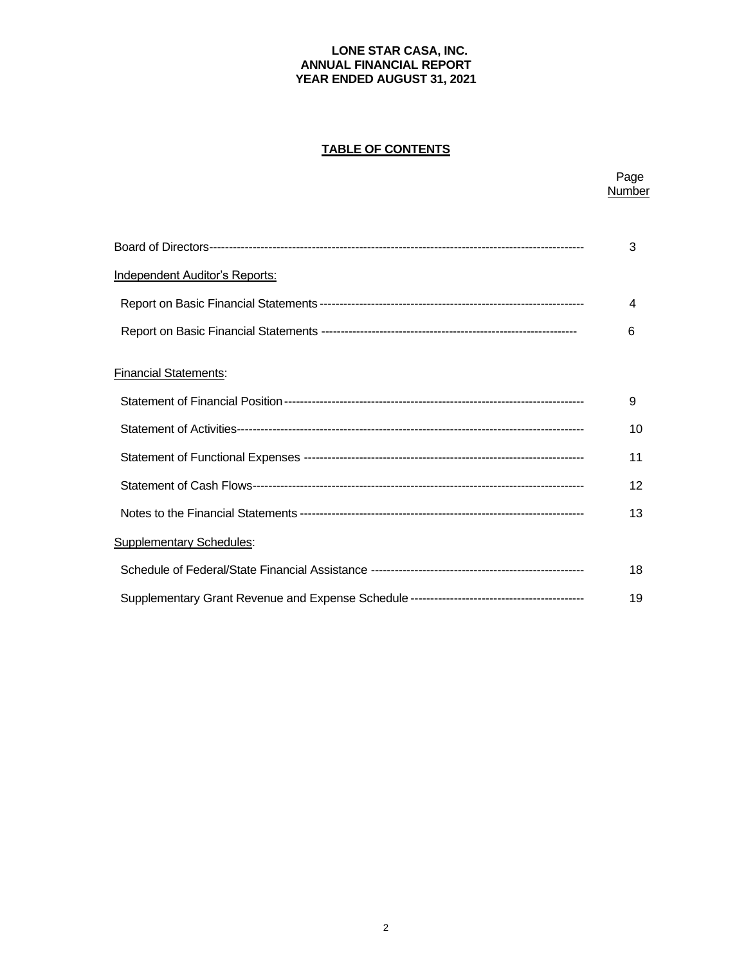## **LONE STAR CASA, INC. ANNUAL FINANCIAL REPORT YEAR ENDED AUGUST 31, 2021**

## **TABLE OF CONTENTS**

Page

|                                       | Number |
|---------------------------------------|--------|
|                                       | 3      |
| <b>Independent Auditor's Reports:</b> |        |
|                                       | 4      |
|                                       | 6      |
| <b>Financial Statements:</b>          |        |
|                                       | 9      |
|                                       | 10     |
|                                       | 11     |
|                                       | 12     |
|                                       | 13     |
| <b>Supplementary Schedules:</b>       |        |
|                                       | 18     |
|                                       | 19     |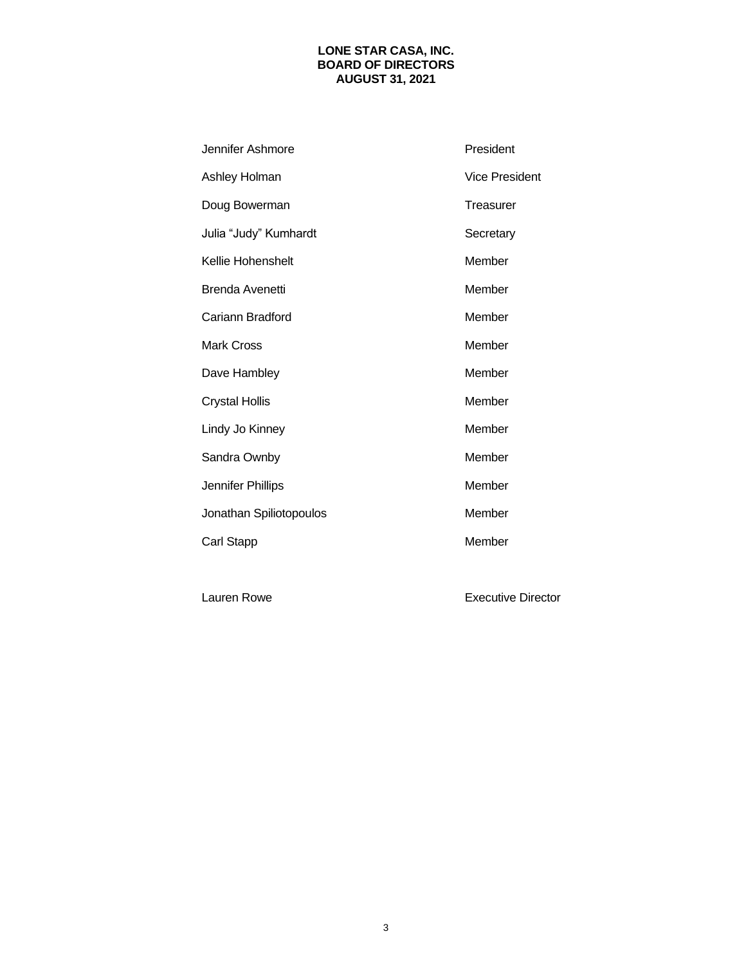## **LONE STAR CASA, INC. BOARD OF DIRECTORS AUGUST 31, 2021**

| Jennifer Ashmore        | President             |
|-------------------------|-----------------------|
| Ashley Holman           | <b>Vice President</b> |
| Doug Bowerman           | Treasurer             |
| Julia "Judy" Kumhardt   | Secretary             |
| Kellie Hohenshelt       | Member                |
| <b>Brenda Avenetti</b>  | Member                |
| Cariann Bradford        | Member                |
| <b>Mark Cross</b>       | Member                |
| Dave Hambley            | Member                |
| <b>Crystal Hollis</b>   | Member                |
| Lindy Jo Kinney         | Member                |
| Sandra Ownby            | Member                |
| Jennifer Phillips       | Member                |
| Jonathan Spiliotopoulos | Member                |
| Carl Stapp              | Member                |
|                         |                       |

Lauren Rowe **Executive Director**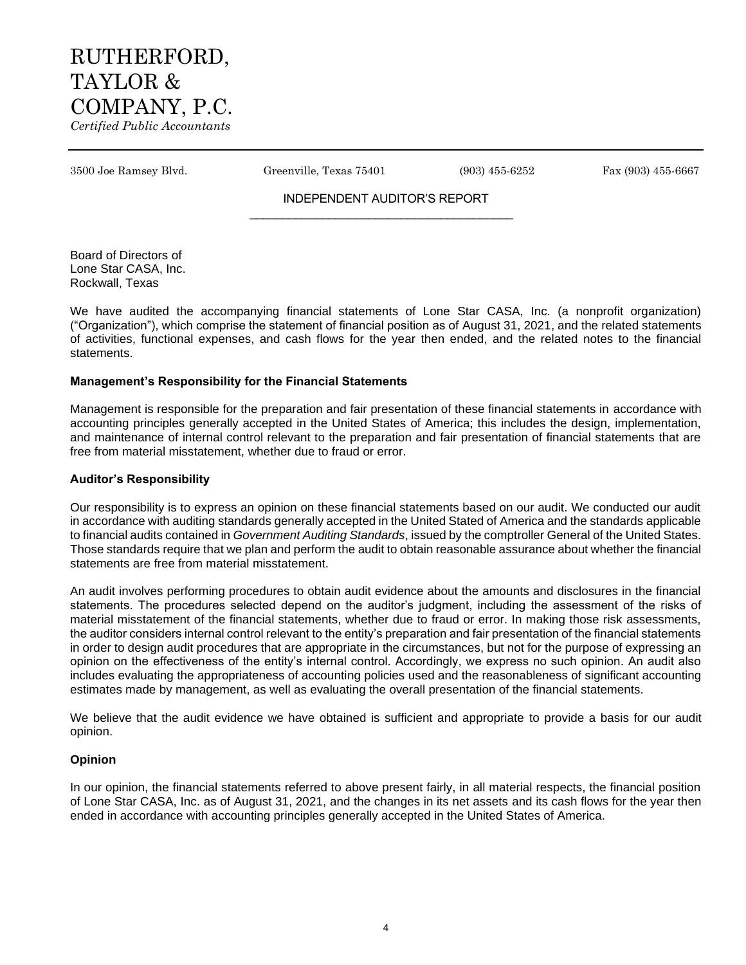# RUTHERFORD, TAYLOR & COMPANY, P.C. *Certified Public Accountants*

3500 Joe Ramsey Blvd. Greenville, Texas 75401 (903) 455-6252 Fax (903) 455-6667

## INDEPENDENT AUDITOR'S REPORT \_\_\_\_\_\_\_\_\_\_\_\_\_\_\_\_\_\_\_\_\_\_\_\_\_\_\_\_\_\_\_\_\_\_\_\_\_\_\_\_

Board of Directors of Lone Star CASA, Inc. Rockwall, Texas

We have audited the accompanying financial statements of Lone Star CASA, Inc. (a nonprofit organization) ("Organization"), which comprise the statement of financial position as of August 31, 2021, and the related statements of activities, functional expenses, and cash flows for the year then ended, and the related notes to the financial statements.

## **Management's Responsibility for the Financial Statements**

Management is responsible for the preparation and fair presentation of these financial statements in accordance with accounting principles generally accepted in the United States of America; this includes the design, implementation, and maintenance of internal control relevant to the preparation and fair presentation of financial statements that are free from material misstatement, whether due to fraud or error.

#### **Auditor's Responsibility**

Our responsibility is to express an opinion on these financial statements based on our audit. We conducted our audit in accordance with auditing standards generally accepted in the United Stated of America and the standards applicable to financial audits contained in *Government Auditing Standards*, issued by the comptroller General of the United States. Those standards require that we plan and perform the audit to obtain reasonable assurance about whether the financial statements are free from material misstatement.

An audit involves performing procedures to obtain audit evidence about the amounts and disclosures in the financial statements. The procedures selected depend on the auditor's judgment, including the assessment of the risks of material misstatement of the financial statements, whether due to fraud or error. In making those risk assessments, the auditor considers internal control relevant to the entity's preparation and fair presentation of the financial statements in order to design audit procedures that are appropriate in the circumstances, but not for the purpose of expressing an opinion on the effectiveness of the entity's internal control. Accordingly, we express no such opinion. An audit also includes evaluating the appropriateness of accounting policies used and the reasonableness of significant accounting estimates made by management, as well as evaluating the overall presentation of the financial statements.

We believe that the audit evidence we have obtained is sufficient and appropriate to provide a basis for our audit opinion.

## **Opinion**

In our opinion, the financial statements referred to above present fairly, in all material respects, the financial position of Lone Star CASA, Inc. as of August 31, 2021, and the changes in its net assets and its cash flows for the year then ended in accordance with accounting principles generally accepted in the United States of America.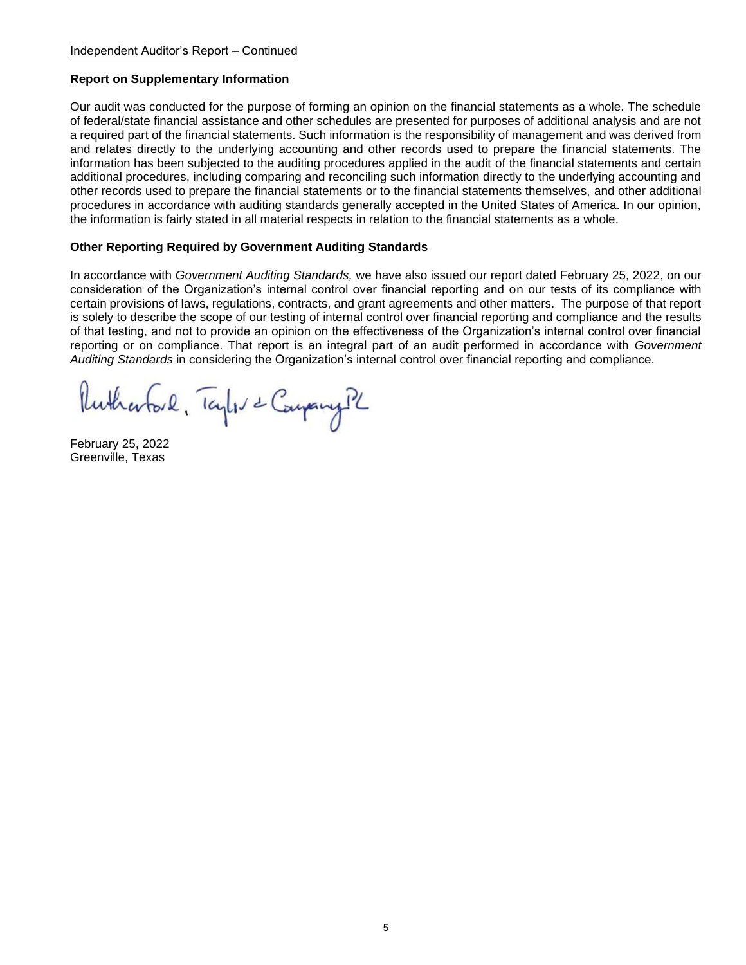## **Report on Supplementary Information**

Our audit was conducted for the purpose of forming an opinion on the financial statements as a whole. The schedule of federal/state financial assistance and other schedules are presented for purposes of additional analysis and are not a required part of the financial statements. Such information is the responsibility of management and was derived from and relates directly to the underlying accounting and other records used to prepare the financial statements. The information has been subjected to the auditing procedures applied in the audit of the financial statements and certain additional procedures, including comparing and reconciling such information directly to the underlying accounting and other records used to prepare the financial statements or to the financial statements themselves, and other additional procedures in accordance with auditing standards generally accepted in the United States of America. In our opinion, the information is fairly stated in all material respects in relation to the financial statements as a whole.

## **Other Reporting Required by Government Auditing Standards**

In accordance with *Government Auditing Standards,* we have also issued our report dated February 25, 2022, on our consideration of the Organization's internal control over financial reporting and on our tests of its compliance with certain provisions of laws, regulations, contracts, and grant agreements and other matters. The purpose of that report is solely to describe the scope of our testing of internal control over financial reporting and compliance and the results of that testing, and not to provide an opinion on the effectiveness of the Organization's internal control over financial reporting or on compliance. That report is an integral part of an audit performed in accordance with *Government Auditing Standards* in considering the Organization's internal control over financial reporting and compliance.

Rutherford, Taylor & Company PL

February 25, 2022 Greenville, Texas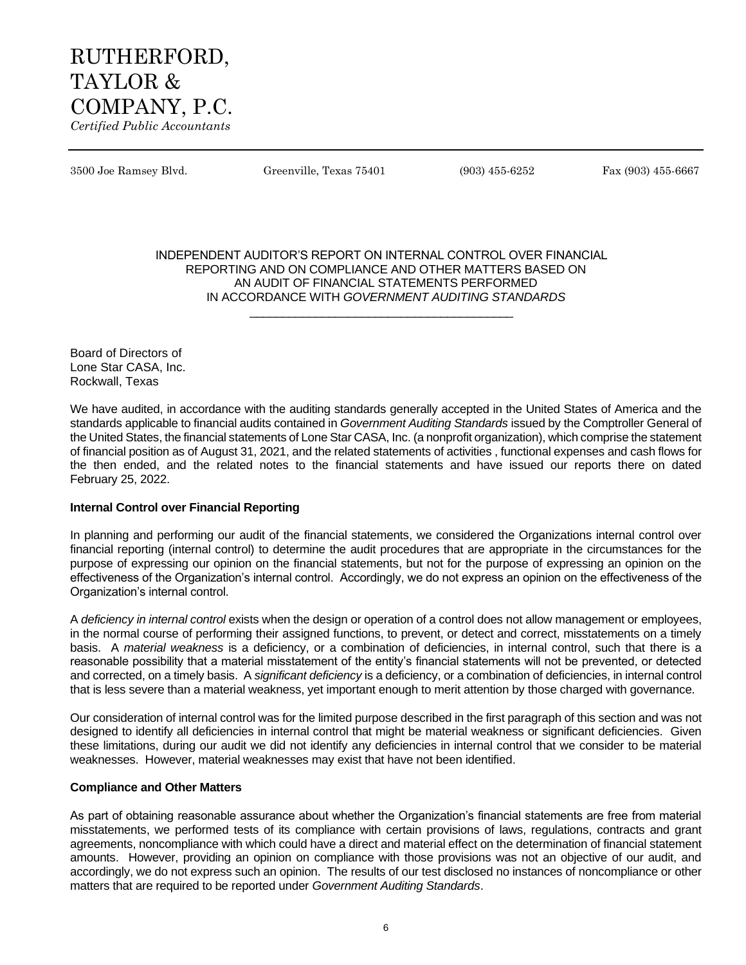# RUTHERFORD, TAYLOR & COMPANY, P.C. *Certified Public Accountants*

3500 Joe Ramsey Blvd. Greenville, Texas 75401 (903) 455-6252 Fax (903) 455-6667

## INDEPENDENT AUDITOR'S REPORT ON INTERNAL CONTROL OVER FINANCIAL REPORTING AND ON COMPLIANCE AND OTHER MATTERS BASED ON AN AUDIT OF FINANCIAL STATEMENTS PERFORMED IN ACCORDANCE WITH *GOVERNMENT AUDITING STANDARDS*

\_\_\_\_\_\_\_\_\_\_\_\_\_\_\_\_\_\_\_\_\_\_\_\_\_\_\_\_\_\_\_\_\_\_\_\_\_\_\_\_

Board of Directors of Lone Star CASA, Inc. Rockwall, Texas

We have audited, in accordance with the auditing standards generally accepted in the United States of America and the standards applicable to financial audits contained in *Government Auditing Standards* issued by the Comptroller General of the United States, the financial statements of Lone Star CASA, Inc. (a nonprofit organization), which comprise the statement of financial position as of August 31, 2021, and the related statements of activities , functional expenses and cash flows for the then ended, and the related notes to the financial statements and have issued our reports there on dated February 25, 2022.

## **Internal Control over Financial Reporting**

In planning and performing our audit of the financial statements, we considered the Organizations internal control over financial reporting (internal control) to determine the audit procedures that are appropriate in the circumstances for the purpose of expressing our opinion on the financial statements, but not for the purpose of expressing an opinion on the effectiveness of the Organization's internal control. Accordingly, we do not express an opinion on the effectiveness of the Organization's internal control.

A *deficiency in internal control* exists when the design or operation of a control does not allow management or employees, in the normal course of performing their assigned functions, to prevent, or detect and correct, misstatements on a timely basis. A *material weakness* is a deficiency, or a combination of deficiencies, in internal control, such that there is a reasonable possibility that a material misstatement of the entity's financial statements will not be prevented, or detected and corrected, on a timely basis. A *significant deficiency* is a deficiency, or a combination of deficiencies, in internal control that is less severe than a material weakness, yet important enough to merit attention by those charged with governance.

Our consideration of internal control was for the limited purpose described in the first paragraph of this section and was not designed to identify all deficiencies in internal control that might be material weakness or significant deficiencies. Given these limitations, during our audit we did not identify any deficiencies in internal control that we consider to be material weaknesses. However, material weaknesses may exist that have not been identified.

## **Compliance and Other Matters**

As part of obtaining reasonable assurance about whether the Organization's financial statements are free from material misstatements, we performed tests of its compliance with certain provisions of laws, regulations, contracts and grant agreements, noncompliance with which could have a direct and material effect on the determination of financial statement amounts. However, providing an opinion on compliance with those provisions was not an objective of our audit, and accordingly, we do not express such an opinion. The results of our test disclosed no instances of noncompliance or other matters that are required to be reported under *Government Auditing Standards*.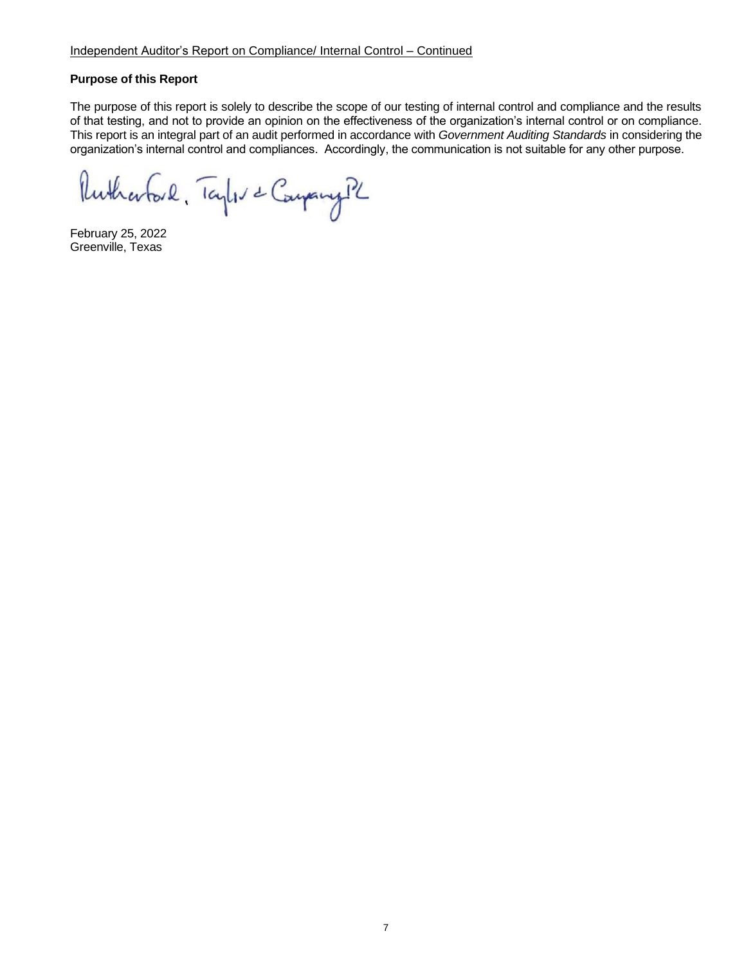## **Purpose of this Report**

The purpose of this report is solely to describe the scope of our testing of internal control and compliance and the results of that testing, and not to provide an opinion on the effectiveness of the organization's internal control or on compliance. This report is an integral part of an audit performed in accordance with *Government Auditing Standards* in considering the organization's internal control and compliances. Accordingly, the communication is not suitable for any other purpose.

Rutherford, Taylor & Carpeny PL

February 25, 2022 Greenville, Texas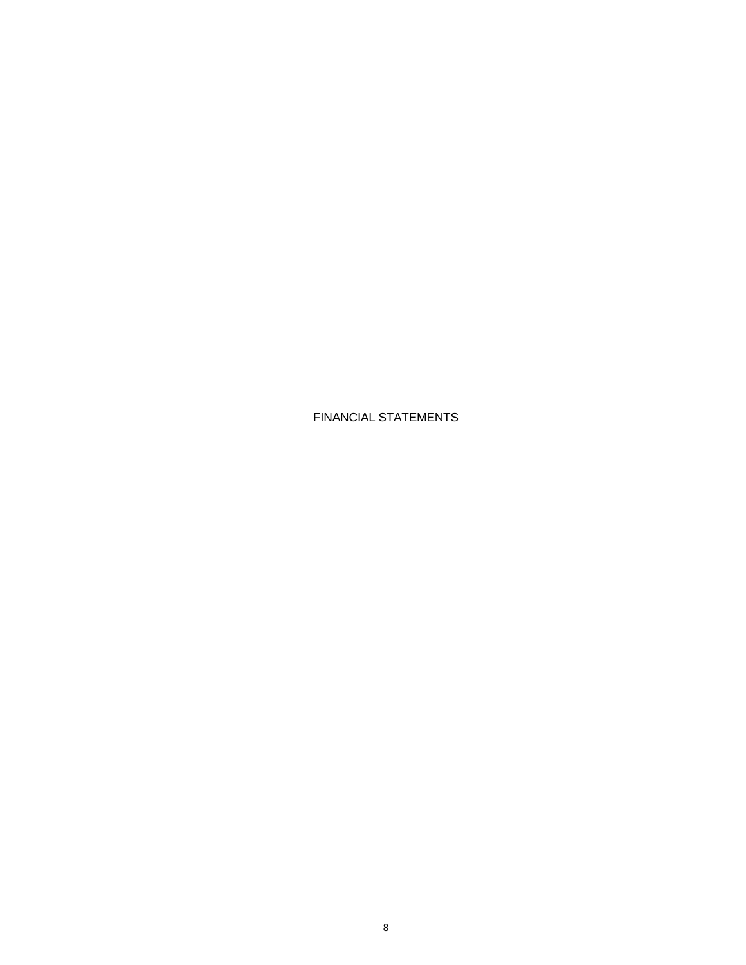FINANCIAL STATEMENTS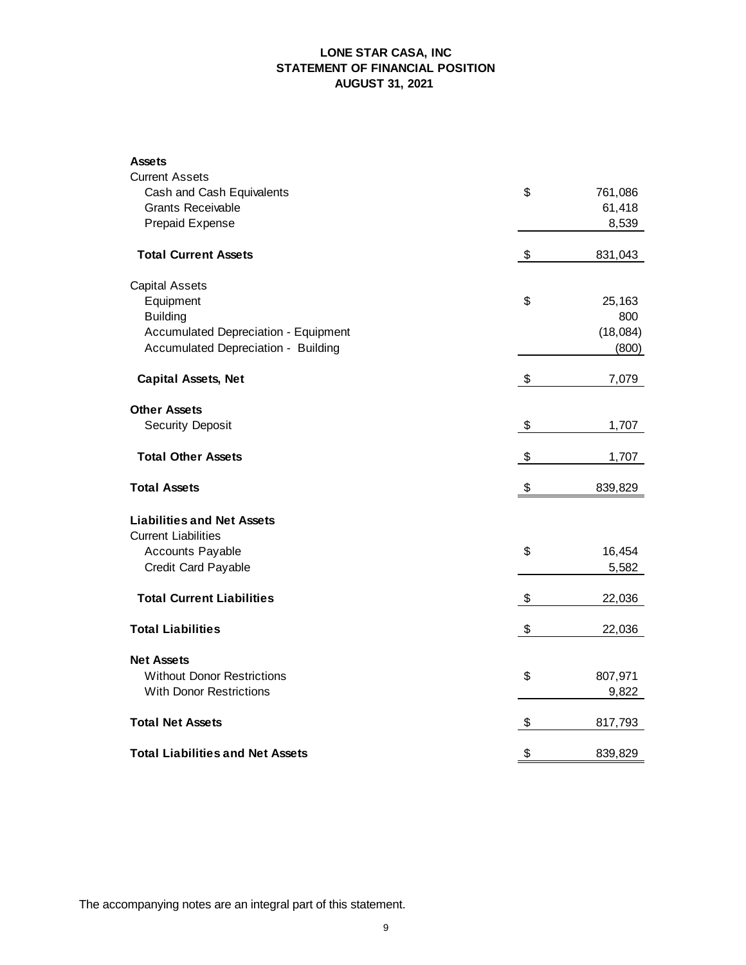## **LONE STAR CASA, INC STATEMENT OF FINANCIAL POSITION AUGUST 31, 2021**

| <b>Assets</b>                                          |                       |          |
|--------------------------------------------------------|-----------------------|----------|
| <b>Current Assets</b>                                  |                       |          |
| Cash and Cash Equivalents                              | \$                    | 761,086  |
| <b>Grants Receivable</b>                               |                       | 61,418   |
| <b>Prepaid Expense</b>                                 |                       | 8,539    |
| <b>Total Current Assets</b>                            | $\boldsymbol{\theta}$ | 831,043  |
| <b>Capital Assets</b>                                  |                       |          |
| Equipment                                              | \$                    | 25,163   |
| <b>Building</b>                                        |                       | 800      |
| Accumulated Depreciation - Equipment                   |                       | (18,084) |
| Accumulated Depreciation - Building                    |                       | (800)    |
| <b>Capital Assets, Net</b>                             | \$                    | 7,079    |
| <b>Other Assets</b>                                    |                       |          |
| <b>Security Deposit</b>                                | \$                    | 1,707    |
|                                                        |                       |          |
| <b>Total Other Assets</b>                              | $\boldsymbol{\theta}$ | 1,707    |
| <b>Total Assets</b>                                    | \$                    | 839,829  |
| <b>Liabilities and Net Assets</b>                      |                       |          |
| <b>Current Liabilities</b>                             |                       |          |
| <b>Accounts Payable</b>                                | \$                    | 16,454   |
| Credit Card Payable                                    |                       | 5,582    |
|                                                        |                       |          |
| <b>Total Current Liabilities</b>                       | \$                    | 22,036   |
| <b>Total Liabilities</b>                               | \$                    | 22,036   |
|                                                        |                       |          |
| <b>Net Assets</b><br><b>Without Donor Restrictions</b> |                       |          |
| <b>With Donor Restrictions</b>                         | \$                    | 807,971  |
|                                                        |                       | 9,822    |
| <b>Total Net Assets</b>                                | \$                    | 817,793  |
| <b>Total Liabilities and Net Assets</b>                | \$                    | 839,829  |

The accompanying notes are an integral part of this statement.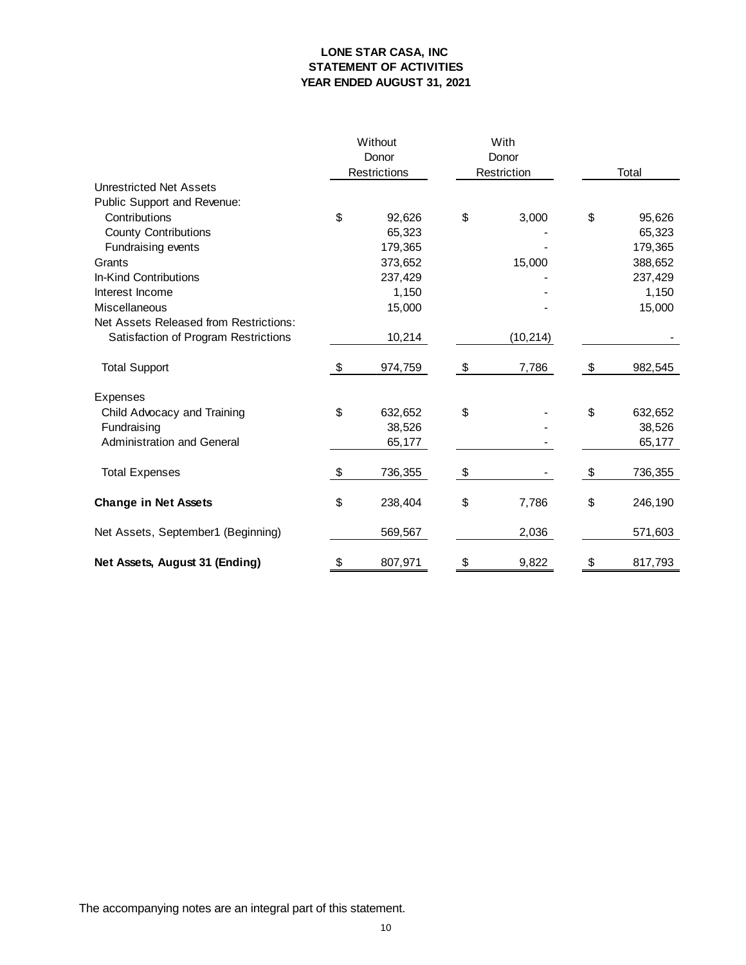## **LONE STAR CASA, INC YEAR ENDED AUGUST 31, 2021 STATEMENT OF ACTIVITIES**

|                                        | Without |              | With |             |       |         |
|----------------------------------------|---------|--------------|------|-------------|-------|---------|
|                                        | Donor   |              |      | Donor       |       |         |
|                                        |         | Restrictions |      | Restriction | Total |         |
| <b>Unrestricted Net Assets</b>         |         |              |      |             |       |         |
| Public Support and Revenue:            |         |              |      |             |       |         |
| Contributions                          | \$      | 92,626       | \$   | 3,000       | \$    | 95,626  |
| <b>County Contributions</b>            |         | 65,323       |      |             |       | 65,323  |
| Fundraising events                     |         | 179,365      |      |             |       | 179,365 |
| Grants                                 |         | 373,652      |      | 15,000      |       | 388,652 |
| In-Kind Contributions                  |         | 237,429      |      |             |       | 237,429 |
| Interest Income                        |         | 1,150        |      |             |       | 1,150   |
| Miscellaneous                          |         | 15,000       |      |             |       | 15,000  |
| Net Assets Released from Restrictions: |         |              |      |             |       |         |
| Satisfaction of Program Restrictions   |         | 10,214       |      | (10, 214)   |       |         |
| <b>Total Support</b>                   | \$      | 974,759      | \$   | 7,786       | \$    | 982,545 |
| <b>Expenses</b>                        |         |              |      |             |       |         |
| Child Advocacy and Training            | \$      | 632,652      | \$   |             | \$    | 632,652 |
| Fundraising                            |         | 38,526       |      |             |       | 38,526  |
| <b>Administration and General</b>      |         | 65,177       |      |             |       | 65,177  |
| <b>Total Expenses</b>                  | \$      | 736,355      | \$   |             | \$    | 736,355 |
| <b>Change in Net Assets</b>            | \$      | 238,404      | \$   | 7,786       | \$    | 246,190 |
| Net Assets, September1 (Beginning)     |         | 569,567      |      | 2,036       |       | 571,603 |
| Net Assets, August 31 (Ending)         | \$      | 807,971      | \$   | 9,822       | \$    | 817,793 |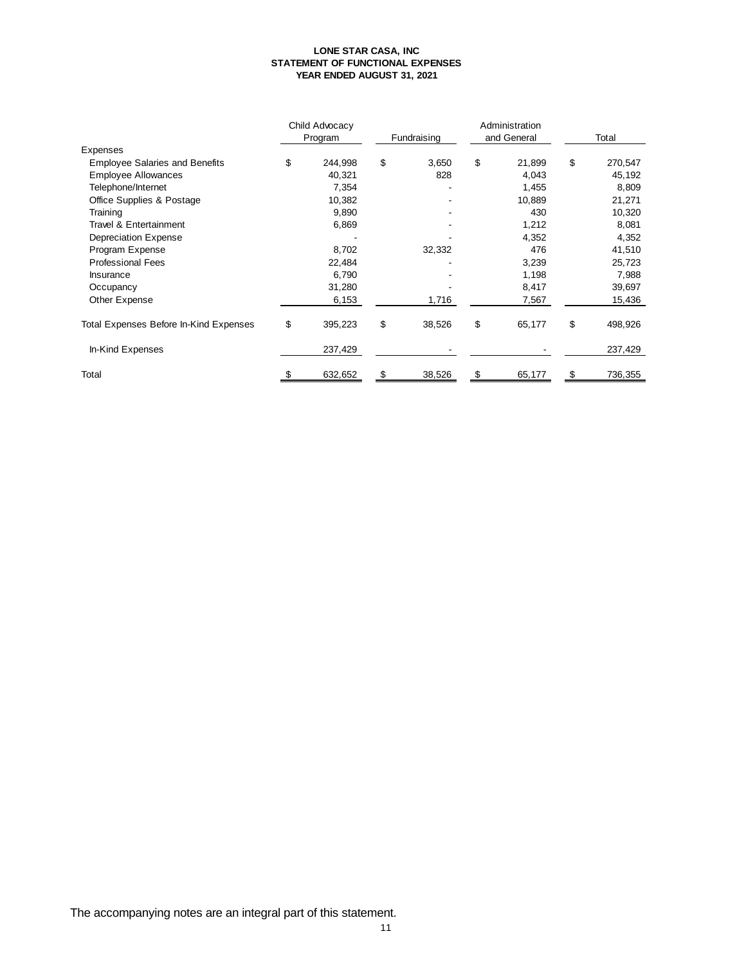#### **LONE STAR CASA, INC STATEMENT OF FUNCTIONAL EXPENSES YEAR ENDED AUGUST 31, 2021**

|                                        |         | Child Advocacy |              | Administration |             |    |         |
|----------------------------------------|---------|----------------|--------------|----------------|-------------|----|---------|
|                                        | Program |                | Fundraising  |                | and General |    | Total   |
| Expenses                               |         |                |              |                |             |    |         |
| <b>Employee Salaries and Benefits</b>  | \$      | 244,998        | \$<br>3,650  | \$             | 21,899      | \$ | 270,547 |
| <b>Employee Allowances</b>             |         | 40,321         | 828          |                | 4,043       |    | 45,192  |
| Telephone/Internet                     |         | 7,354          |              |                | 1,455       |    | 8,809   |
| Office Supplies & Postage              |         | 10,382         |              |                | 10,889      |    | 21,271  |
| Training                               |         | 9,890          |              |                | 430         |    | 10,320  |
| Travel & Entertainment                 |         | 6,869          |              |                | 1,212       |    | 8,081   |
| <b>Depreciation Expense</b>            |         |                |              |                | 4,352       |    | 4,352   |
| Program Expense                        |         | 8,702          | 32,332       |                | 476         |    | 41,510  |
| <b>Professional Fees</b>               |         | 22,484         |              |                | 3,239       |    | 25,723  |
| Insurance                              |         | 6,790          |              |                | 1,198       |    | 7,988   |
| Occupancy                              |         | 31,280         |              |                | 8,417       |    | 39,697  |
| Other Expense                          |         | 6,153          | 1,716        |                | 7,567       |    | 15,436  |
| Total Expenses Before In-Kind Expenses | \$      | 395,223        | \$<br>38,526 | \$             | 65,177      | \$ | 498,926 |
| In-Kind Expenses                       |         | 237,429        |              |                |             |    | 237,429 |
| Total                                  | \$      | 632,652        | \$<br>38,526 | \$             | 65,177      | \$ | 736,355 |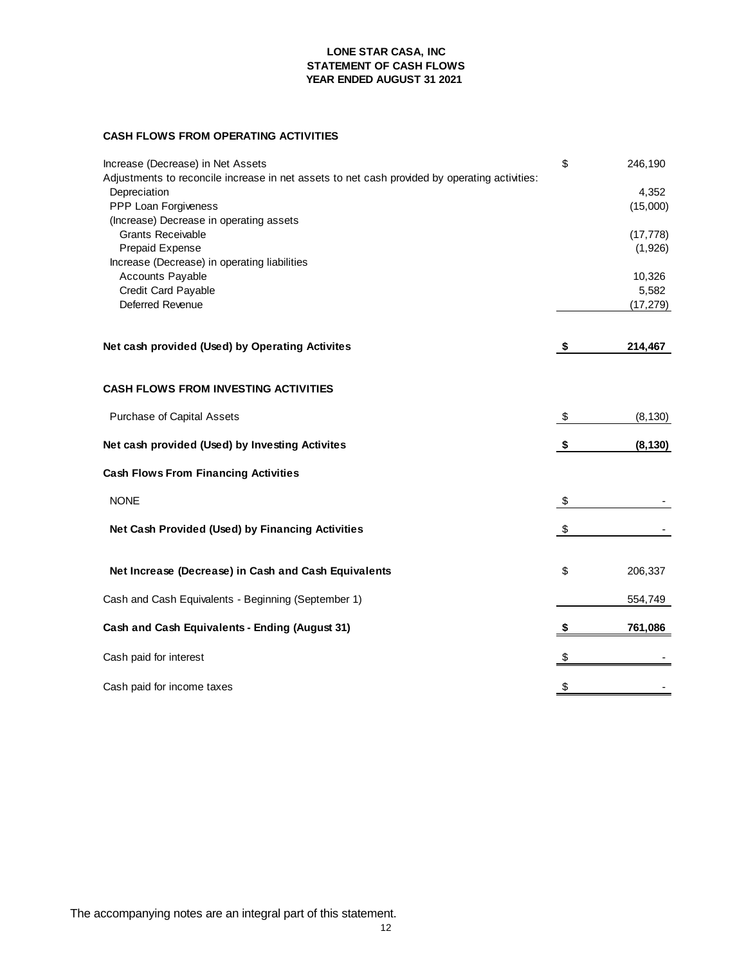#### **LONE STAR CASA, INC STATEMENT OF CASH FLOWS YEAR ENDED AUGUST 31 2021**

## **CASH FLOWS FROM OPERATING ACTIVITIES**

| Increase (Decrease) in Net Assets                                                             | \$ | 246,190   |
|-----------------------------------------------------------------------------------------------|----|-----------|
| Adjustments to reconcile increase in net assets to net cash provided by operating activities: |    |           |
| Depreciation                                                                                  |    | 4,352     |
| PPP Loan Forgiveness                                                                          |    | (15,000)  |
| (Increase) Decrease in operating assets                                                       |    |           |
| <b>Grants Receivable</b>                                                                      |    | (17, 778) |
| Prepaid Expense                                                                               |    | (1,926)   |
| Increase (Decrease) in operating liabilities                                                  |    |           |
| Accounts Payable                                                                              |    | 10,326    |
| Credit Card Payable                                                                           |    | 5,582     |
| Deferred Revenue                                                                              |    | (17, 279) |
| Net cash provided (Used) by Operating Activites                                               | \$ | 214,467   |
|                                                                                               |    |           |
| CASH FLOWS FROM INVESTING ACTIVITIES                                                          |    |           |
| Purchase of Capital Assets                                                                    | \$ | (8, 130)  |
| Net cash provided (Used) by Investing Activites                                               | \$ | (8, 130)  |
| <b>Cash Flows From Financing Activities</b>                                                   |    |           |
| <b>NONE</b>                                                                                   | \$ |           |
| Net Cash Provided (Used) by Financing Activities                                              | \$ |           |
| Net Increase (Decrease) in Cash and Cash Equivalents                                          | \$ | 206,337   |
| Cash and Cash Equivalents - Beginning (September 1)                                           |    | 554,749   |
| Cash and Cash Equivalents - Ending (August 31)                                                | S  | 761,086   |
| Cash paid for interest                                                                        |    |           |
| Cash paid for income taxes                                                                    | \$ |           |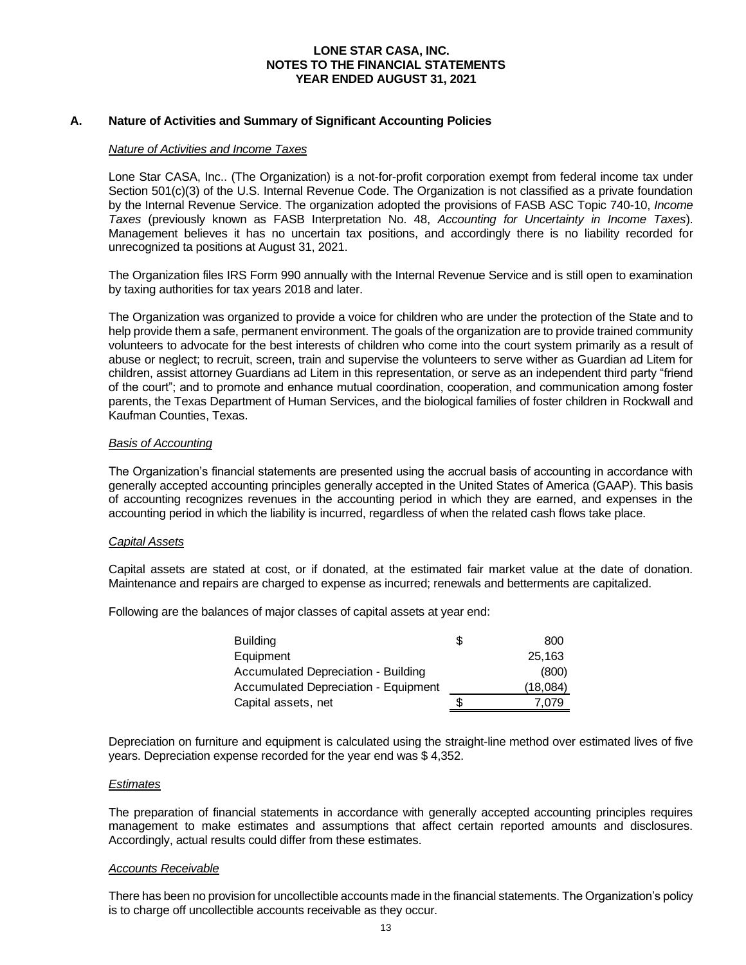## **A. Nature of Activities and Summary of Significant Accounting Policies**

#### *Nature of Activities and Income Taxes*

Lone Star CASA, Inc.. (The Organization) is a not-for-profit corporation exempt from federal income tax under Section 501(c)(3) of the U.S. Internal Revenue Code. The Organization is not classified as a private foundation by the Internal Revenue Service. The organization adopted the provisions of FASB ASC Topic 740-10, *Income Taxes* (previously known as FASB Interpretation No. 48, *Accounting for Uncertainty in Income Taxes*). Management believes it has no uncertain tax positions, and accordingly there is no liability recorded for unrecognized ta positions at August 31, 2021.

The Organization files IRS Form 990 annually with the Internal Revenue Service and is still open to examination by taxing authorities for tax years 2018 and later.

The Organization was organized to provide a voice for children who are under the protection of the State and to help provide them a safe, permanent environment. The goals of the organization are to provide trained community volunteers to advocate for the best interests of children who come into the court system primarily as a result of abuse or neglect; to recruit, screen, train and supervise the volunteers to serve wither as Guardian ad Litem for children, assist attorney Guardians ad Litem in this representation, or serve as an independent third party "friend of the court"; and to promote and enhance mutual coordination, cooperation, and communication among foster parents, the Texas Department of Human Services, and the biological families of foster children in Rockwall and Kaufman Counties, Texas.

#### *Basis of Accounting*

The Organization's financial statements are presented using the accrual basis of accounting in accordance with generally accepted accounting principles generally accepted in the United States of America (GAAP). This basis of accounting recognizes revenues in the accounting period in which they are earned, and expenses in the accounting period in which the liability is incurred, regardless of when the related cash flows take place.

#### *Capital Assets*

Capital assets are stated at cost, or if donated, at the estimated fair market value at the date of donation. Maintenance and repairs are charged to expense as incurred; renewals and betterments are capitalized.

Following are the balances of major classes of capital assets at year end:

| <b>Building</b>                             | \$ | 800      |
|---------------------------------------------|----|----------|
| Equipment                                   |    | 25,163   |
| Accumulated Depreciation - Building         |    | (800)    |
| <b>Accumulated Depreciation - Equipment</b> |    | (18,084) |
| Capital assets, net                         | S  | 7.079    |

Depreciation on furniture and equipment is calculated using the straight-line method over estimated lives of five years. Depreciation expense recorded for the year end was \$ 4,352.

#### *Estimates*

The preparation of financial statements in accordance with generally accepted accounting principles requires management to make estimates and assumptions that affect certain reported amounts and disclosures. Accordingly, actual results could differ from these estimates.

#### *Accounts Receivable*

There has been no provision for uncollectible accounts made in the financial statements. The Organization's policy is to charge off uncollectible accounts receivable as they occur.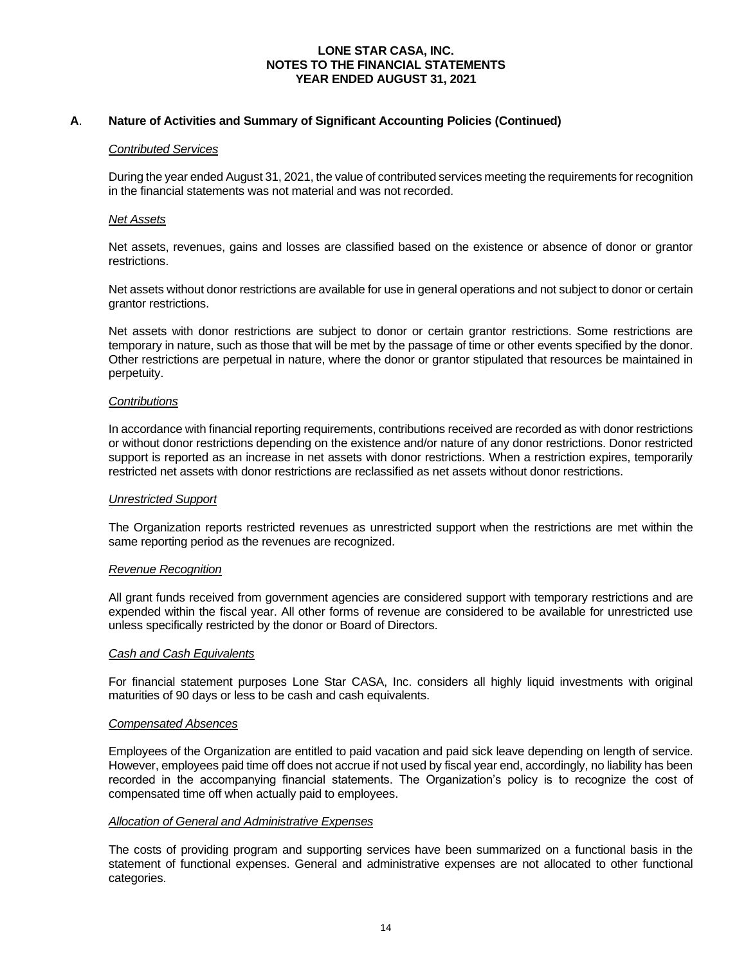## **A**. **Nature of Activities and Summary of Significant Accounting Policies (Continued)**

#### *Contributed Services*

During the year ended August 31, 2021, the value of contributed services meeting the requirements for recognition in the financial statements was not material and was not recorded.

#### *Net Assets*

Net assets, revenues, gains and losses are classified based on the existence or absence of donor or grantor restrictions.

Net assets without donor restrictions are available for use in general operations and not subject to donor or certain grantor restrictions.

Net assets with donor restrictions are subject to donor or certain grantor restrictions. Some restrictions are temporary in nature, such as those that will be met by the passage of time or other events specified by the donor. Other restrictions are perpetual in nature, where the donor or grantor stipulated that resources be maintained in perpetuity.

#### *Contributions*

In accordance with financial reporting requirements, contributions received are recorded as with donor restrictions or without donor restrictions depending on the existence and/or nature of any donor restrictions. Donor restricted support is reported as an increase in net assets with donor restrictions. When a restriction expires, temporarily restricted net assets with donor restrictions are reclassified as net assets without donor restrictions.

#### *Unrestricted Support*

The Organization reports restricted revenues as unrestricted support when the restrictions are met within the same reporting period as the revenues are recognized.

#### *Revenue Recognition*

All grant funds received from government agencies are considered support with temporary restrictions and are expended within the fiscal year. All other forms of revenue are considered to be available for unrestricted use unless specifically restricted by the donor or Board of Directors.

#### *Cash and Cash Equivalents*

For financial statement purposes Lone Star CASA, Inc. considers all highly liquid investments with original maturities of 90 days or less to be cash and cash equivalents.

#### *Compensated Absences*

Employees of the Organization are entitled to paid vacation and paid sick leave depending on length of service. However, employees paid time off does not accrue if not used by fiscal year end, accordingly, no liability has been recorded in the accompanying financial statements. The Organization's policy is to recognize the cost of compensated time off when actually paid to employees.

#### *Allocation of General and Administrative Expenses*

The costs of providing program and supporting services have been summarized on a functional basis in the statement of functional expenses. General and administrative expenses are not allocated to other functional categories.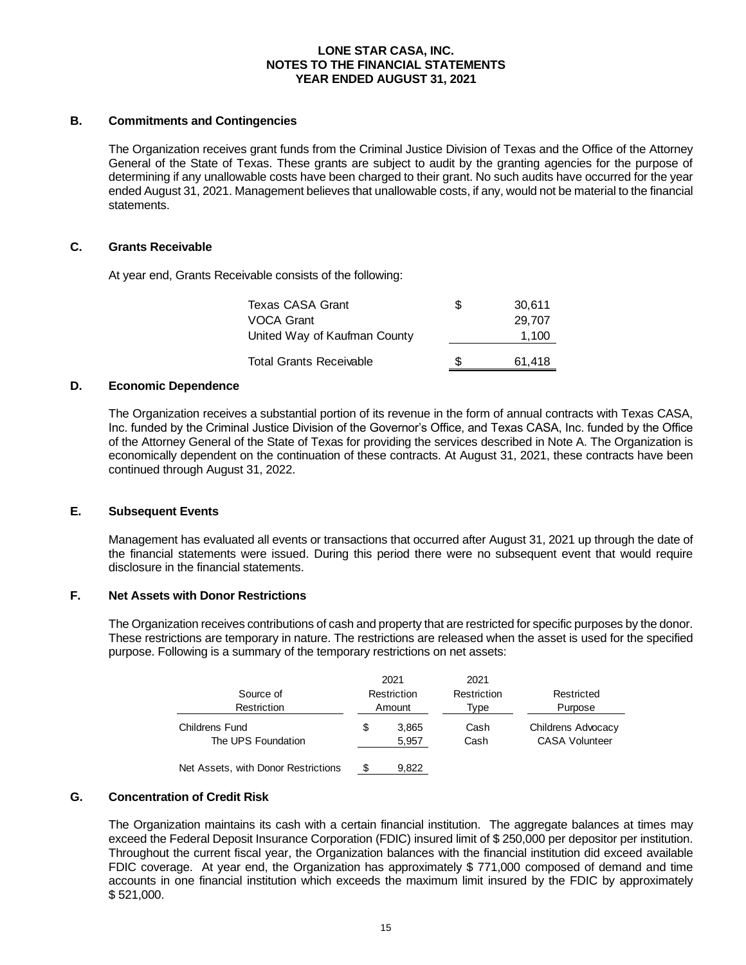## **B. Commitments and Contingencies**

The Organization receives grant funds from the Criminal Justice Division of Texas and the Office of the Attorney General of the State of Texas. These grants are subject to audit by the granting agencies for the purpose of determining if any unallowable costs have been charged to their grant. No such audits have occurred for the year ended August 31, 2021. Management believes that unallowable costs, if any, would not be material to the financial statements.

#### **C. Grants Receivable**

At year end, Grants Receivable consists of the following:

| Texas CASA Grant             | S   | 30.611 |
|------------------------------|-----|--------|
| VOCA Grant                   |     | 29,707 |
| United Way of Kaufman County |     | 1,100  |
| Total Grants Receivable      | \$. | 61,418 |
|                              |     |        |

#### **D. Economic Dependence**

The Organization receives a substantial portion of its revenue in the form of annual contracts with Texas CASA, Inc. funded by the Criminal Justice Division of the Governor's Office, and Texas CASA, Inc. funded by the Office of the Attorney General of the State of Texas for providing the services described in Note A. The Organization is economically dependent on the continuation of these contracts. At August 31, 2021, these contracts have been continued through August 31, 2022.

## **E. Subsequent Events**

Management has evaluated all events or transactions that occurred after August 31, 2021 up through the date of the financial statements were issued. During this period there were no subsequent event that would require disclosure in the financial statements.

## **F. Net Assets with Donor Restrictions**

The Organization receives contributions of cash and property that are restricted for specific purposes by the donor. These restrictions are temporary in nature. The restrictions are released when the asset is used for the specified purpose. Following is a summary of the temporary restrictions on net assets:

| Source of<br>Restriction             | 2021<br>Restriction<br>Amount |                | 2021<br>Restriction<br>Type | Restricted<br>Purpose                       |  |  |
|--------------------------------------|-------------------------------|----------------|-----------------------------|---------------------------------------------|--|--|
| Childrens Fund<br>The UPS Foundation | \$                            | 3.865<br>5,957 | Cash<br>Cash                | Childrens Advocacy<br><b>CASA Volunteer</b> |  |  |
| Net Assets, with Donor Restrictions  | S                             | 9,822          |                             |                                             |  |  |

## **G. Concentration of Credit Risk**

The Organization maintains its cash with a certain financial institution. The aggregate balances at times may exceed the Federal Deposit Insurance Corporation (FDIC) insured limit of \$ 250,000 per depositor per institution. Throughout the current fiscal year, the Organization balances with the financial institution did exceed available FDIC coverage. At year end, the Organization has approximately \$ 771,000 composed of demand and time accounts in one financial institution which exceeds the maximum limit insured by the FDIC by approximately \$ 521,000.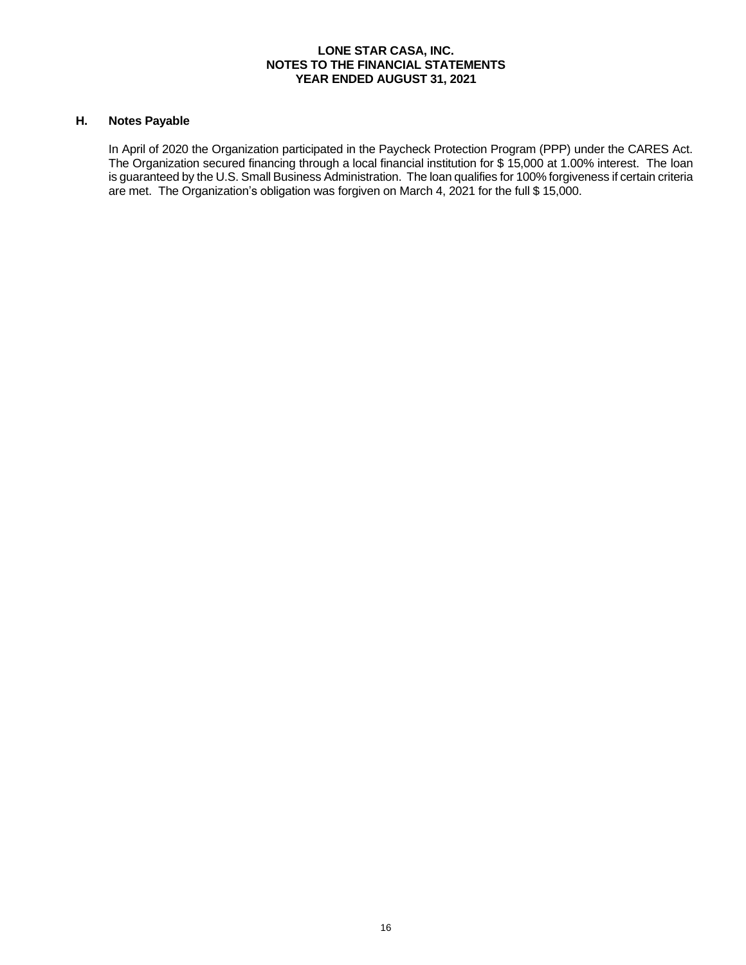## **H. Notes Payable**

In April of 2020 the Organization participated in the Paycheck Protection Program (PPP) under the CARES Act. The Organization secured financing through a local financial institution for \$ 15,000 at 1.00% interest. The loan is guaranteed by the U.S. Small Business Administration. The loan qualifies for 100% forgiveness if certain criteria are met. The Organization's obligation was forgiven on March 4, 2021 for the full \$ 15,000.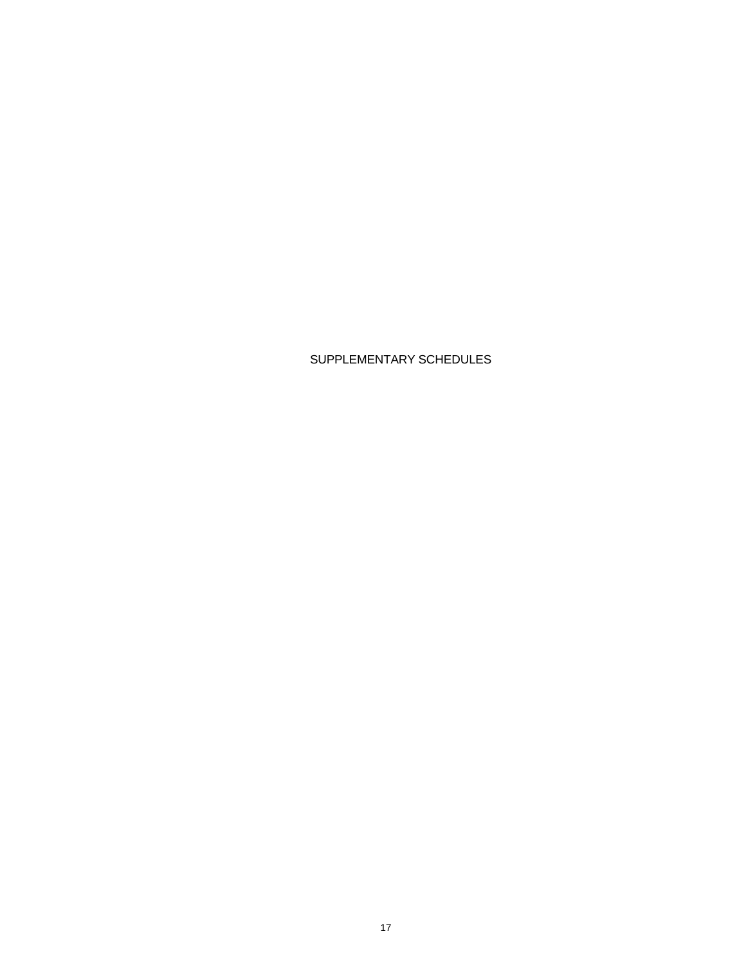SUPPLEMENTARY SCHEDULES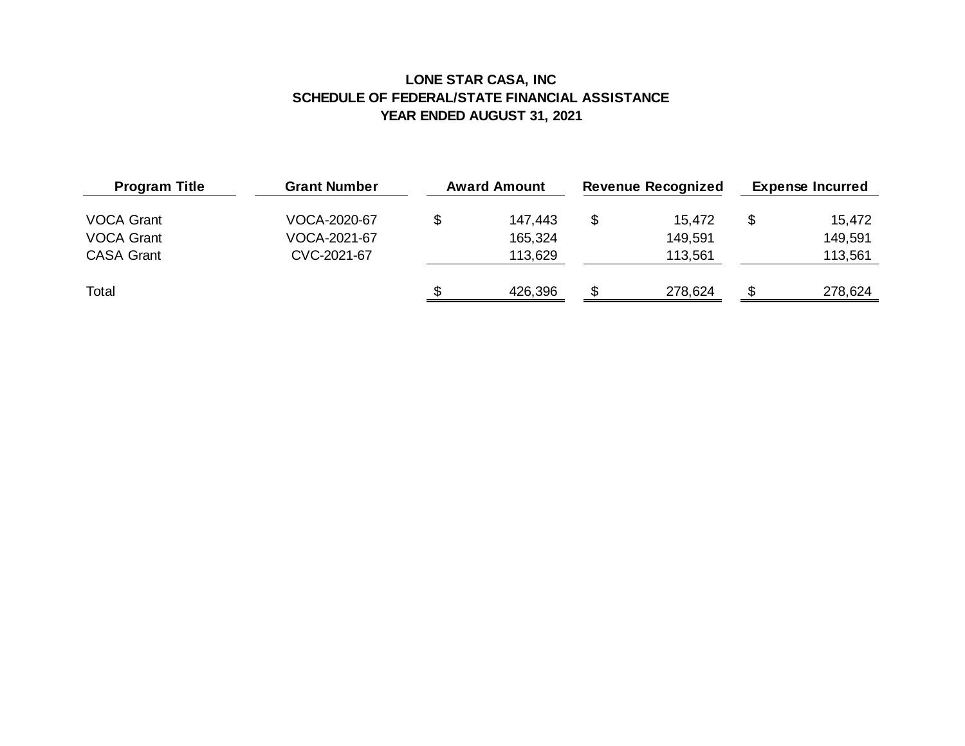## **LONE STAR CASA, INC SCHEDULE OF FEDERAL/STATE FINANCIAL ASSISTANCE YEAR ENDED AUGUST 31, 2021**

| <b>Program Title</b> | <b>Grant Number</b> | <b>Award Amount</b> |    | <b>Revenue Recognized</b> |  | <b>Expense Incurred</b> |  |
|----------------------|---------------------|---------------------|----|---------------------------|--|-------------------------|--|
| <b>VOCA Grant</b>    | VOCA-2020-67        | 147,443             | \$ | 15,472                    |  | 15,472                  |  |
| <b>VOCA Grant</b>    | VOCA-2021-67        | 165,324             |    | 149,591                   |  | 149,591                 |  |
| <b>CASA Grant</b>    | CVC-2021-67         | 113,629             |    | 113,561                   |  | 113,561                 |  |
| Total                |                     | 426,396             | \$ | 278,624                   |  | 278,624                 |  |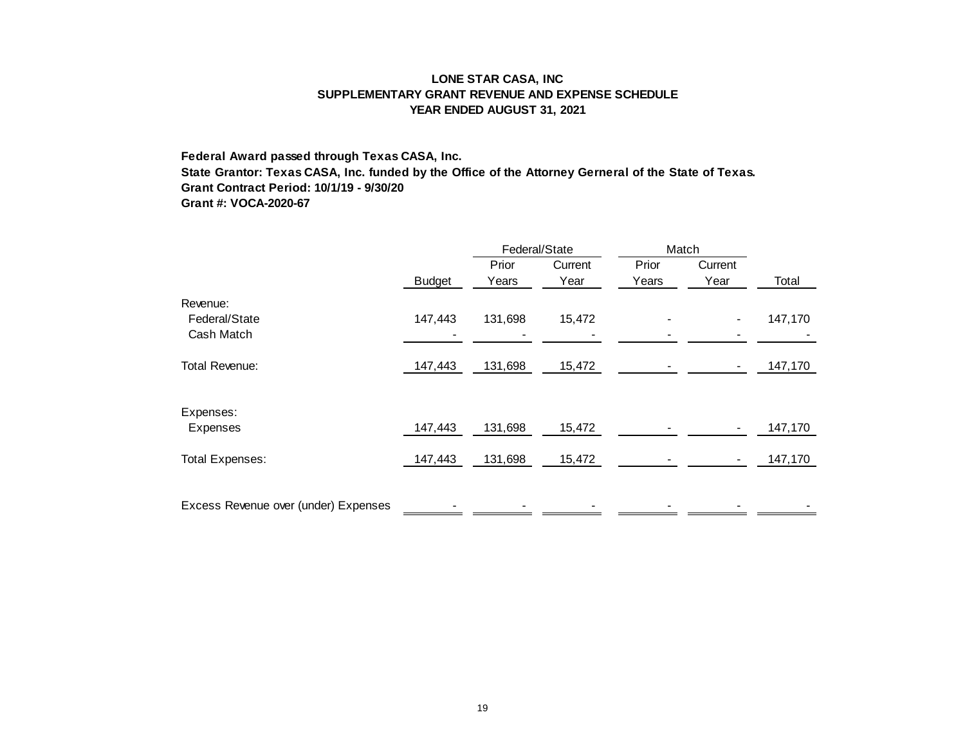## **LONE STAR CASA, INC SUPPLEMENTARY GRANT REVENUE AND EXPENSE SCHEDULE YEAR ENDED AUGUST 31, 2021**

**Federal Award passed through Texas CASA, Inc.**

**State Grantor: Texas CASA, Inc. funded by the Office of the Attorney Gerneral of the State of Texas. Grant Contract Period: 10/1/19 - 9/30/20**

**Grant #: VOCA-2020-67**

|                                      |               |         | Federal/State |       | Match   |         |
|--------------------------------------|---------------|---------|---------------|-------|---------|---------|
|                                      |               | Prior   | Current       | Prior | Current |         |
|                                      | <b>Budget</b> | Years   | Year          | Years | Year    | Total   |
| Revenue:                             |               |         |               |       |         |         |
| Federal/State                        | 147,443       | 131,698 | 15,472        |       |         | 147,170 |
| Cash Match                           |               |         |               |       |         |         |
| Total Revenue:                       | 147,443       | 131,698 | 15,472        |       | ٠       | 147,170 |
|                                      |               |         |               |       |         |         |
|                                      |               |         |               |       |         |         |
| Expenses:                            |               |         |               |       |         |         |
| Expenses                             | 147,443       | 131,698 | 15,472        |       |         | 147,170 |
| Total Expenses:                      | 147,443       | 131,698 | 15,472        |       | ۰.      | 147,170 |
|                                      |               |         |               |       |         |         |
|                                      |               |         |               |       |         |         |
| Excess Revenue over (under) Expenses |               |         |               |       |         |         |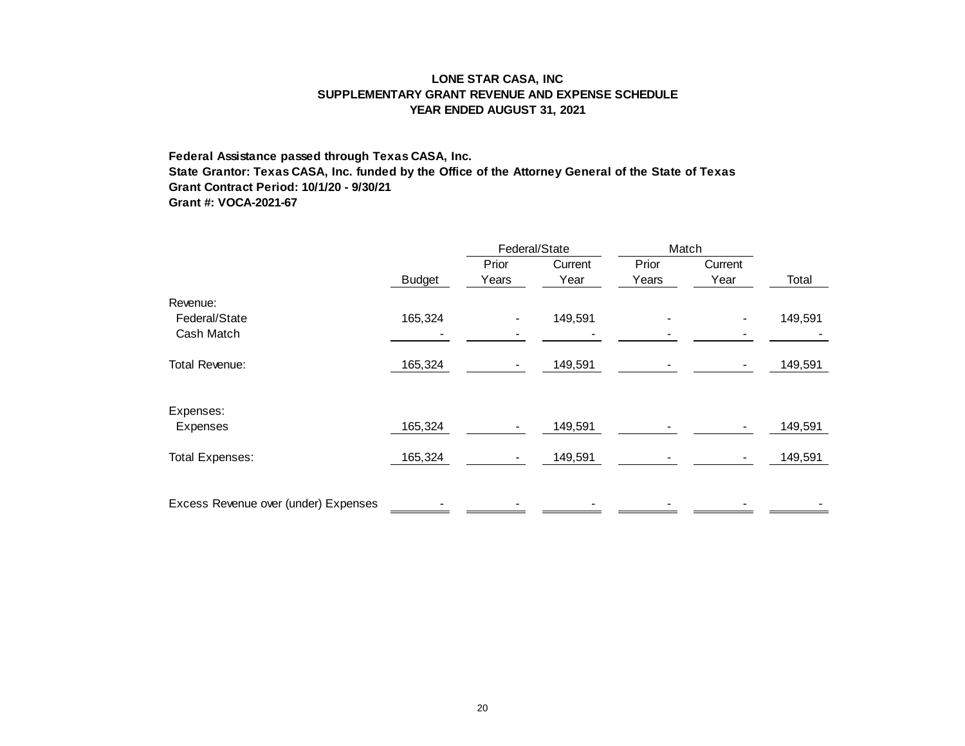## **LONE STAR CASA, INC SUPPLEMENTARY GRANT REVENUE AND EXPENSE SCHEDULE YEAR ENDED AUGUST 31, 2021**

**Federal Assistance passed through Texas CASA, Inc.** 

**State Grantor: Texas CASA, Inc. funded by the Office of the Attorney General of the State of Texas Grant Contract Period: 10/1/20 - 9/30/21 Grant #: VOCA-2021-67**

|                                      |               | Federal/State  |         | Match |         |         |
|--------------------------------------|---------------|----------------|---------|-------|---------|---------|
|                                      |               | Prior          | Current | Prior | Current |         |
|                                      | <b>Budget</b> | Years          | Year    | Years | Year    | Total   |
| Revenue:                             |               |                |         |       |         |         |
| Federal/State                        | 165,324       | -              | 149,591 |       |         | 149,591 |
| Cash Match                           |               |                |         |       |         |         |
| Total Revenue:                       | 165,324       | $\blacksquare$ | 149,591 |       |         | 149,591 |
| Expenses:                            |               |                |         |       |         |         |
| <b>Expenses</b>                      | 165,324       |                | 149,591 |       |         | 149,591 |
| Total Expenses:                      | 165,324       |                | 149,591 |       |         | 149,591 |
| Excess Revenue over (under) Expenses |               |                |         |       |         |         |